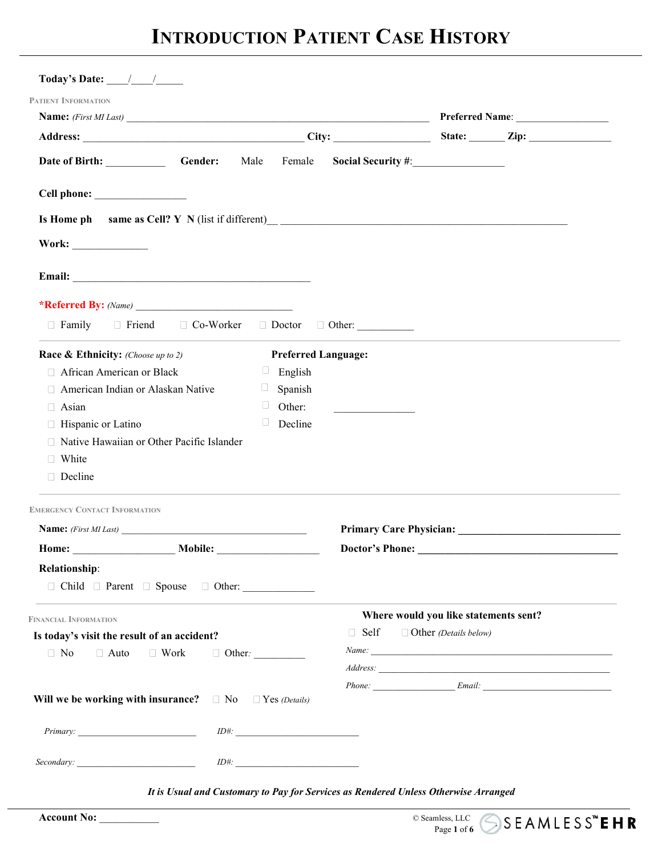## **INTRODUCTION PATIENT CASE HISTORY**

| Today's Date: $\frac{1}{\sqrt{1-\frac{1}{2}}}$                                                                                                                                                                     |                                                   |                                                                                                                       |                                       |  |  |  |
|--------------------------------------------------------------------------------------------------------------------------------------------------------------------------------------------------------------------|---------------------------------------------------|-----------------------------------------------------------------------------------------------------------------------|---------------------------------------|--|--|--|
| <b>PATIENT INFORMATION</b>                                                                                                                                                                                         |                                                   |                                                                                                                       |                                       |  |  |  |
| Name: (First MI Last)                                                                                                                                                                                              |                                                   |                                                                                                                       |                                       |  |  |  |
|                                                                                                                                                                                                                    |                                                   |                                                                                                                       |                                       |  |  |  |
| Date of Birth: Gender:                                                                                                                                                                                             | Male<br>Female                                    |                                                                                                                       |                                       |  |  |  |
|                                                                                                                                                                                                                    |                                                   |                                                                                                                       |                                       |  |  |  |
| Is Home ph same as Cell? Y N (list if different)<br><u>Letter and the contract of the same as Cell?</u> Y N (list if different)<br><u>Letter and the contract of the same as Cell?</u> Y N (list if different)<br> |                                                   |                                                                                                                       |                                       |  |  |  |
|                                                                                                                                                                                                                    |                                                   |                                                                                                                       |                                       |  |  |  |
|                                                                                                                                                                                                                    |                                                   |                                                                                                                       |                                       |  |  |  |
|                                                                                                                                                                                                                    |                                                   |                                                                                                                       |                                       |  |  |  |
| □ Family □ Friend □ Co-Worker □ Doctor □ Other:                                                                                                                                                                    |                                                   |                                                                                                                       |                                       |  |  |  |
| <b>Race &amp; Ethnicity:</b> (Choose up to 2)                                                                                                                                                                      | <b>Preferred Language:</b>                        |                                                                                                                       |                                       |  |  |  |
| African American or Black                                                                                                                                                                                          | English<br>$\begin{array}{c} \square \end{array}$ |                                                                                                                       |                                       |  |  |  |
| American Indian or Alaskan Native                                                                                                                                                                                  | Spanish<br>u                                      |                                                                                                                       |                                       |  |  |  |
| □ Asian                                                                                                                                                                                                            | u<br>Other:                                       | <u> 1989 - Johann Barn, mars and de Branch Barn, mars and de Branch Barn, mars and de Branch Barn, mars and de Br</u> |                                       |  |  |  |
| □ Hispanic or Latino                                                                                                                                                                                               | $\Box$<br>Decline                                 |                                                                                                                       |                                       |  |  |  |
| □ Native Hawaiian or Other Pacific Islander                                                                                                                                                                        |                                                   |                                                                                                                       |                                       |  |  |  |
| □ White                                                                                                                                                                                                            |                                                   |                                                                                                                       |                                       |  |  |  |
| Decline                                                                                                                                                                                                            |                                                   |                                                                                                                       |                                       |  |  |  |
| <b>EMERGENCY CONTACT INFORMATION</b>                                                                                                                                                                               |                                                   |                                                                                                                       |                                       |  |  |  |
| <b>Name:</b> (First MI Last)                                                                                                                                                                                       |                                                   |                                                                                                                       |                                       |  |  |  |
| <b>Mobile:</b><br>Home:                                                                                                                                                                                            |                                                   | <b>Doctor's Phone:</b>                                                                                                |                                       |  |  |  |
| <b>Relationship:</b>                                                                                                                                                                                               |                                                   |                                                                                                                       |                                       |  |  |  |
| □ Child □ Parent □ Spouse □ Other:                                                                                                                                                                                 |                                                   |                                                                                                                       |                                       |  |  |  |
| <b>FINANCIAL INFORMATION</b>                                                                                                                                                                                       |                                                   |                                                                                                                       | Where would you like statements sent? |  |  |  |
| Is today's visit the result of an accident?                                                                                                                                                                        |                                                   | $\Box$ Self                                                                                                           | $\Box$ Other (Details below)          |  |  |  |
| $\Box$ No<br>$\Box$ Auto<br>$\Box$ Work<br>Other: $\qquad \qquad$                                                                                                                                                  |                                                   |                                                                                                                       |                                       |  |  |  |
|                                                                                                                                                                                                                    |                                                   |                                                                                                                       |                                       |  |  |  |
| Will we be working with insurance? $\Box$ No                                                                                                                                                                       | $\Box$ Yes (Details)                              |                                                                                                                       |                                       |  |  |  |
|                                                                                                                                                                                                                    | ID#:                                              |                                                                                                                       |                                       |  |  |  |
|                                                                                                                                                                                                                    |                                                   |                                                                                                                       |                                       |  |  |  |
|                                                                                                                                                                                                                    |                                                   |                                                                                                                       |                                       |  |  |  |
|                                                                                                                                                                                                                    |                                                   |                                                                                                                       |                                       |  |  |  |

*It is Usual and Customary to Pay for Services as Rendered Unless Otherwise Arranged*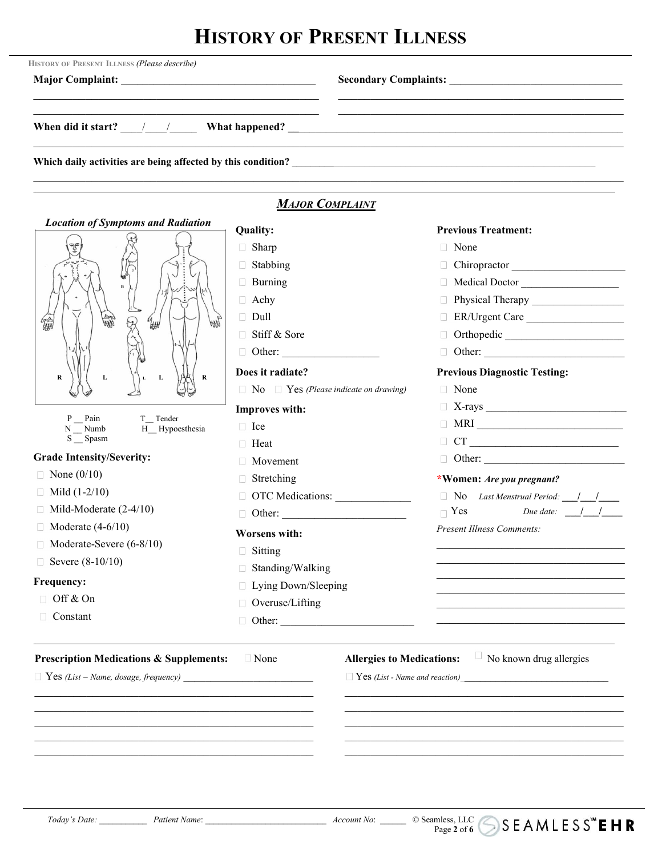# **HISTORY OF PRESENT ILLNESS**

|                                                                                                                      |                                                   | When did it start? $\frac{1}{2}$ / $\frac{1}{2}$ What happened? $\frac{1}{2}$ When did it start? $\frac{1}{2}$ / $\frac{1}{2}$ What happened? $\frac{1}{2}$ / $\frac{1}{2}$ / $\frac{1}{2}$ / $\frac{1}{2}$ / $\frac{1}{2}$ / $\frac{1}{2}$ / $\frac{1}{2}$ / $\frac{1}{2}$ / $\frac$ |
|----------------------------------------------------------------------------------------------------------------------|---------------------------------------------------|---------------------------------------------------------------------------------------------------------------------------------------------------------------------------------------------------------------------------------------------------------------------------------------|
|                                                                                                                      |                                                   |                                                                                                                                                                                                                                                                                       |
|                                                                                                                      | <b>MAJOR COMPLAINT</b>                            |                                                                                                                                                                                                                                                                                       |
| <b>Location of Symptoms and Radiation</b>                                                                            | <b>Quality:</b>                                   | <b>Previous Treatment:</b>                                                                                                                                                                                                                                                            |
| $\mathbb{P}^{\mathcal{F}}$                                                                                           | $\Box$ Sharp                                      | $\Box$ None                                                                                                                                                                                                                                                                           |
|                                                                                                                      | $\Box$ Stabbing                                   | Chiropractor                                                                                                                                                                                                                                                                          |
|                                                                                                                      | $\Box$ Burning                                    | Medical Doctor                                                                                                                                                                                                                                                                        |
|                                                                                                                      | $\Box$ Achy                                       |                                                                                                                                                                                                                                                                                       |
| 编<br>命服<br>$\theta_{\text{HH}}$                                                                                      | $\Box$ Dull                                       | ER/Urgent Care                                                                                                                                                                                                                                                                        |
|                                                                                                                      | □ Stiff & Sore                                    | Orthopedic                                                                                                                                                                                                                                                                            |
|                                                                                                                      |                                                   |                                                                                                                                                                                                                                                                                       |
| L<br>$\bf R$<br>R<br>L                                                                                               | Does it radiate?                                  | <b>Previous Diagnostic Testing:</b>                                                                                                                                                                                                                                                   |
|                                                                                                                      | $\Box$ No $\Box$ Yes (Please indicate on drawing) | □ None                                                                                                                                                                                                                                                                                |
|                                                                                                                      | Improves with:                                    |                                                                                                                                                                                                                                                                                       |
| P Pain<br>T_Tender<br>H Hypoesthesia<br>$N$ Numb                                                                     | $\Box$ Ice                                        |                                                                                                                                                                                                                                                                                       |
| S _ Spasm                                                                                                            | $\Box$ Heat                                       | $\begin{tabular}{ c c c c } \hline & CT & \quad \quad & \quad \quad & \quad \quad \\ \hline \end{tabular}$                                                                                                                                                                            |
| <b>Grade Intensity/Severity:</b>                                                                                     | $\Box$ Movement                                   | D Other:                                                                                                                                                                                                                                                                              |
| $\Box$ None (0/10)                                                                                                   | $\Box$ Stretching                                 | *Women: Are you pregnant?                                                                                                                                                                                                                                                             |
| $\Box$ Mild (1-2/10)                                                                                                 |                                                   | □ No Last Menstrual Period: <u>     </u>                                                                                                                                                                                                                                              |
| $\Box$ Mild-Moderate (2-4/10)                                                                                        | Other:                                            | $\Box$ Yes Due date: $\Box$ /                                                                                                                                                                                                                                                         |
| $\Box$ Moderate (4-6/10)                                                                                             | <b>Worsens with:</b>                              | <b>Present Illness Comments:</b>                                                                                                                                                                                                                                                      |
| $\Box$ Moderate-Severe (6-8/10)                                                                                      | $\Box$ Sitting                                    |                                                                                                                                                                                                                                                                                       |
| □ Severe $(8-10/10)$                                                                                                 | Standing/Walking                                  |                                                                                                                                                                                                                                                                                       |
| Frequency:                                                                                                           | □ Lying Down/Sleeping                             |                                                                                                                                                                                                                                                                                       |
| $\Box$ Off & On                                                                                                      | □ Overuse/Lifting                                 |                                                                                                                                                                                                                                                                                       |
| $\Box$ Constant                                                                                                      |                                                   |                                                                                                                                                                                                                                                                                       |
| <b>Prescription Medications &amp; Supplements:</b>                                                                   | $\Box$ None                                       | $\Box$ No known drug allergies<br><b>Allergies to Medications:</b>                                                                                                                                                                                                                    |
| $\Box$ Yes (List – Name, dosage, frequency)                                                                          |                                                   |                                                                                                                                                                                                                                                                                       |
|                                                                                                                      |                                                   |                                                                                                                                                                                                                                                                                       |
|                                                                                                                      |                                                   |                                                                                                                                                                                                                                                                                       |
|                                                                                                                      |                                                   |                                                                                                                                                                                                                                                                                       |
| <u> 1990 - Paris Antonio II de la contrata del contrata del contrata del contrata de la contrata del contrata de</u> |                                                   |                                                                                                                                                                                                                                                                                       |
|                                                                                                                      |                                                   |                                                                                                                                                                                                                                                                                       |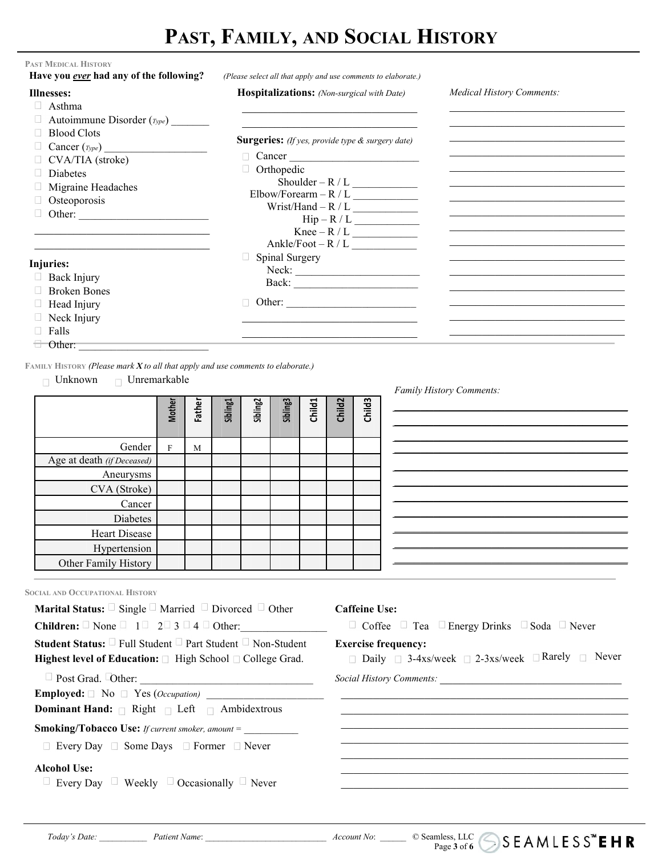## **PAST, FAMILY, AND SOCIAL HISTORY**

| <b>Illnesses:</b>                        | Hospitalizations: (Non-surgical with Date)       | <b>Medical History Comments:</b> |
|------------------------------------------|--------------------------------------------------|----------------------------------|
| $\Box$ Asthma                            |                                                  |                                  |
| $\Box$ Autoimmune Disorder ( $_{Type}$ ) |                                                  |                                  |
| $\Box$ Blood Clots                       |                                                  |                                  |
| $\Box$ Cancer ( $_{Type}$ )              | Surgeries: (If yes, provide type & surgery date) |                                  |
| $\Box$ CVA/TIA (stroke)                  | $\Box$ Cancer                                    |                                  |
| $\Box$ Diabetes                          | $\Box$ Orthopedic                                |                                  |
| $\Box$ Migraine Headaches                |                                                  |                                  |
| □ Osteoporosis                           | $Elbow/Forearn - R / L$                          |                                  |
| Other: $\qquad \qquad$                   |                                                  |                                  |
|                                          | $\text{Hip}-\text{R}/\text{L}$<br>Knee – R / L   |                                  |
|                                          | Ankle/Foot - $R/L$                               |                                  |
|                                          | <b>Spinal Surgery</b>                            |                                  |
| Injuries:                                |                                                  |                                  |
| $\Box$ Back Injury                       |                                                  |                                  |
| $\Box$ Broken Bones                      | Other:                                           |                                  |
| $\Box$ Head Injury                       |                                                  |                                  |
| $\Box$ Neck Injury                       |                                                  |                                  |
| $\Box$ Falls                             |                                                  |                                  |

**FAMILY HISTORY** *(Please mark X to all that apply and use comments to elaborate.)*

Unknown Unremarkable

|                            | <b>Mother</b> | Father | Sibling1 | Sibling <sub>2</sub> | Sibling3 | <b>Child1</b> | Child <sub>2</sub> | <b>Child3</b> |
|----------------------------|---------------|--------|----------|----------------------|----------|---------------|--------------------|---------------|
| Gender                     | $\mathbf{E}$  | M      |          |                      |          |               |                    |               |
| Age at death (if Deceased) |               |        |          |                      |          |               |                    |               |
| Aneurysms                  |               |        |          |                      |          |               |                    |               |
| CVA (Stroke)               |               |        |          |                      |          |               |                    |               |
| Cancer                     |               |        |          |                      |          |               |                    |               |
| Diabetes                   |               |        |          |                      |          |               |                    |               |
| Heart Disease              |               |        |          |                      |          |               |                    |               |
| Hypertension               |               |        |          |                      |          |               |                    |               |
| Other Family History       |               |        |          |                      |          |               |                    |               |

*Family History Comments:*

| Sibling3 | Child1 | Child <sub>2</sub> | <b>Child3</b> |  |
|----------|--------|--------------------|---------------|--|
|          |        |                    |               |  |
|          |        |                    |               |  |
|          |        |                    |               |  |
|          |        |                    |               |  |
|          |        |                    |               |  |
|          |        |                    |               |  |
|          |        |                    |               |  |
|          |        |                    |               |  |
|          |        |                    |               |  |
|          |        |                    |               |  |

Page 3 of **6**  $\bigcup$  **5 6 6 6** 

**SOCIAL AND OCCUPATIONAL HISTORY**

| <b>Marital Status:</b> $\Box$ Single $\Box$ Married $\Box$ Divorced $\Box$ Other                                                                                     | <b>Caffeine Use:</b>                                                             |
|----------------------------------------------------------------------------------------------------------------------------------------------------------------------|----------------------------------------------------------------------------------|
| <b>Children:</b> $\Box$ None $\Box$ 1 $\Box$ 2 $\Box$ 3 $\Box$ 4 $\Box$ Other:                                                                                       | $\Box$ Coffee $\Box$ Tea $\Box$ Energy Drinks $\Box$ Soda $\Box$ Never           |
| <b>Student Status:</b> $\Box$ Full Student $\Box$ Part Student $\Box$ Non-Student<br><b>Highest level of Education:</b> $\Box$ High School $\Box$ College Grad.      | <b>Exercise frequency:</b><br>□ Daily □ 3-4xs/week □ 2-3xs/week □ Rarely □ Never |
| $\Box$ Post Grad. $\Box$ Other:<br><b>Employed:</b> $\Box$ No $\Box$ Yes ( <i>Occupation</i> )<br><b>Dominant Hand:</b> $\Box$ Right $\Box$ Left $\Box$ Ambidextrous | Social History Comments:                                                         |
| <b>Smoking/Tobacco Use:</b> <i>If current smoker, amount</i> =<br>$\Box$ Every Day $\Box$ Some Days $\Box$ Former $\Box$ Never                                       |                                                                                  |
| <b>Alcohol Use:</b>                                                                                                                                                  |                                                                                  |

Every Day  $\Box$  Weekly  $\Box$  Occasionally  $\Box$  Never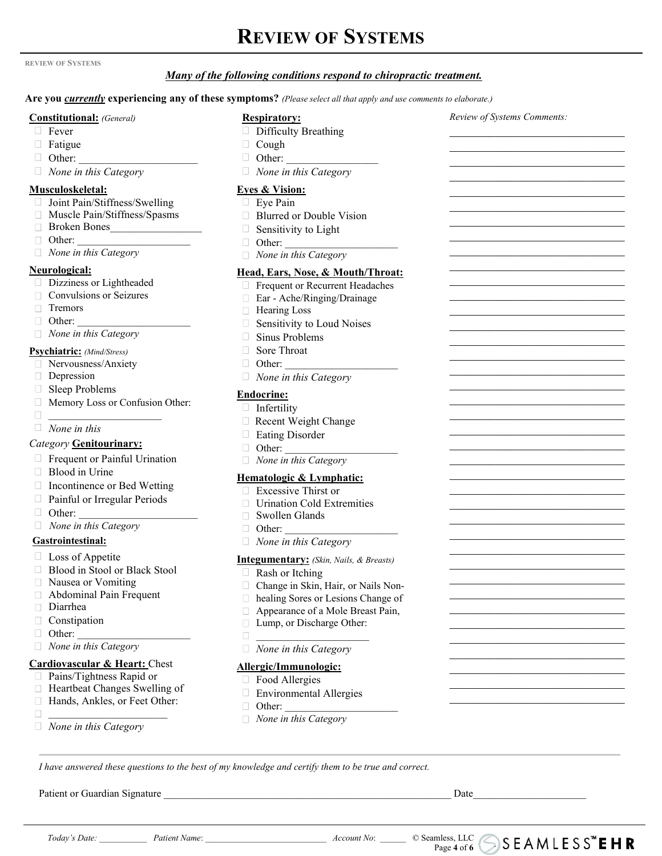### **REVIEW OF SYSTEMS**

#### **REVIEW OF SYSTEMS**

#### *Many of the following conditions respond to chiropractic treatment.*

#### Are you *currently* experiencing any of these symptoms? (Please select all that apply and use comments to elaborate.)

#### **Constitutional:** *(General)*

- □ Fever
- Fatigue
- 
- *None in this Category*

#### **Musculoskeletal:**

- □ Joint Pain/Stiffness/Swelling
- Muscle Pain/Stiffness/Spasms
- Broken Bones\_\_\_\_\_\_\_\_\_\_\_\_\_\_\_\_\_
- Other: \_\_\_\_\_\_\_\_\_\_\_\_\_\_\_\_\_\_\_\_\_\_
- *None in this Category*

#### **Neurological:**

- Dizziness or Lightheaded
- $\Box$  Convulsions or Seizures
- Tremors
- 
- *None in this Category*

#### **Psychiatric:** *(Mind/Stress)*

- Nervousness/Anxiety
- Depression
- □ Sleep Problems
- Memory Lossor Confusion Other:
- $\Box$
- *None in this*

#### *Category* **Genitourinary:**

- $\Box$  Frequent or Painful Urination
- □ Blood in Urine
- □ Incontinence or Bed Wetting
- Painful or Irregular Periods
- 
- *None in this Category*

#### **Gastrointestinal:**

- $\Box$  Loss of Appetite
- $\Box$  Blood in Stool or Black Stool  $\Box$
- Nausea or Vomiting
- Abdominal Pain Frequent
- Diarrhea
- Constipation
- Other: \_\_\_\_\_\_\_\_\_\_\_\_\_\_\_\_\_\_\_\_\_\_
- *None in this Category*

#### **Cardiovascular & Heart:** Chest

- □ Pains/Tightness Rapid or
- □ Heartbeat Changes Swelling of
- Hands, Ankles, or Feet Other:
- $\Box$
- *None in this Category*

#### **Respiratory:**

- Difficulty Breathing
- $\Box$  Cough
- Other: \_\_\_\_\_\_\_\_\_\_\_\_\_\_\_\_\_\_\_\_\_\_ Other: \_\_\_\_\_\_\_\_\_\_\_\_\_\_\_\_\_
	- *None in this Category*

#### **Eyes & Vision:**

- Eye Pain
- □ Blurred or Double Vision
- Sensitivity to Light
- Other:
- *None in this Category*

#### **Head, Ears, Nose, & Mouth/Throat:**

- **Frequent or Recurrent Headaches**
- Ear Ache/Ringing/Drainage  $\Box$
- □ Hearing Loss
- Other: \_\_\_\_\_\_\_\_\_\_\_\_\_\_\_\_\_\_\_\_\_\_ Sensitivity to Loud Noises
	- $\Box$  Sinus Problems
	- □ Sore Throat
	- $\Box$  Other:
	- *None in this Category*

#### **Endocrine:**

- $\Box$  $\Box$  Infertility
	- $\Box$  Recent Weight Change
	- Eating Disorder
	- $\Box$  Other:
	- *None in this Category*

#### **Hematologic & Lymphatic:**

- $\Box$  Excessive Thirst or
- $\Box$  Urination Cold Extremities
- Other: \_\_\_\_\_\_\_\_\_\_\_\_\_\_\_\_\_\_\_\_\_\_ Swollen Glands
	- $\Box$  Other:
	- *None in this Category*

#### **Integumentary:** *(Skin, Nails, & Breasts)*

- Rash or Itching
- Change in Skin, Hair, or Nails Non-
- $\Box$  healing Sores or Lesions Change of
- $\Box$ Appearance of a Mole Breast Pain,
- □ Lump, or Discharge Other:
- $\mathcal{L}_\text{max}$  and  $\mathcal{L}_\text{max}$  are the set of the set of the set of the set of the set of the set of the set of the set of the set of the set of the set of the set of the set of the set of the set of the set of the set o
- *None in this Category*

#### **Allergic/Immunologic:**

- Food Allergies
- Environmental Allergies
- $\Box$  Other:
- \_\_\_\_\_\_\_\_\_\_\_\_\_\_\_\_\_\_\_\_\_\_ *None in this Category*

I have answered these questions to the best of my knowledge and certify them to be true and correct.

Patient or Guardian Signature \_\_\_\_\_\_\_\_\_\_\_\_\_\_\_\_\_\_\_\_\_\_\_\_\_\_\_\_\_\_\_\_\_\_\_\_\_\_\_\_\_\_\_\_\_\_\_\_\_\_\_\_\_\_\_\_ Date\_\_\_\_\_\_\_\_\_\_\_\_\_\_\_\_\_\_\_\_\_\_

Page **4** of **6**

*Review of Systems Comments:*

 $\mathcal{L}_\mathcal{L}$  , which is a set of the set of the set of the set of the set of the set of the set of the set of the set of the set of the set of the set of the set of the set of the set of the set of the set of the set of

 $\mathcal{L}_\mathcal{L}$  , which is a set of the set of the set of the set of the set of the set of the set of the set of the set of the set of the set of the set of the set of the set of the set of the set of the set of the set of  $\mathcal{L}_\mathcal{L}$  , which is a set of the set of the set of the set of the set of the set of the set of the set of the set of the set of the set of the set of the set of the set of the set of the set of the set of the set of

 $\mathcal{L}_\mathcal{L}$  , which is a set of the set of the set of the set of the set of the set of the set of the set of the set of the set of the set of the set of the set of the set of the set of the set of the set of the set of

 $\mathcal{L}_\mathcal{L}$  , which is a set of the set of the set of the set of the set of the set of the set of the set of the set of the set of the set of the set of the set of the set of the set of the set of the set of the set of  $\mathcal{L}_\mathcal{L}$  , which is a set of the set of the set of the set of the set of the set of the set of the set of the set of the set of the set of the set of the set of the set of the set of the set of the set of the set of

 $\mathcal{L}_\mathcal{L}$  , which is a set of the set of the set of the set of the set of the set of the set of the set of the set of the set of the set of the set of the set of the set of the set of the set of the set of the set of  $\mathcal{L}_\mathcal{L}$  , which is a set of the set of the set of the set of the set of the set of the set of the set of the set of the set of the set of the set of the set of the set of the set of the set of the set of the set of  $\mathcal{L}_\mathcal{L}$  , which is a set of the set of the set of the set of the set of the set of the set of the set of the set of the set of the set of the set of the set of the set of the set of the set of the set of the set of  $\mathcal{L}_\text{max}$  , where  $\mathcal{L}_\text{max}$  and  $\mathcal{L}_\text{max}$  and  $\mathcal{L}_\text{max}$ 

 $\mathcal{L}_\mathcal{L}$  , which is a set of the set of the set of the set of the set of the set of the set of the set of the set of the set of the set of the set of the set of the set of the set of the set of the set of the set of  $\mathcal{L}_\mathcal{L}$  , which is a set of the set of the set of the set of the set of the set of the set of the set of the set of the set of the set of the set of the set of the set of the set of the set of the set of the set of  $\mathcal{L}_\mathcal{L}$  , which is a set of the set of the set of the set of the set of the set of the set of the set of the set of the set of the set of the set of the set of the set of the set of the set of the set of the set of \_\_\_\_\_\_\_\_\_\_\_\_\_\_\_\_\_\_\_\_\_\_\_\_\_\_\_

 $\mathcal{L}_\mathcal{L}$  , which is a set of the set of the set of the set of the set of the set of the set of the set of the set of the set of the set of the set of the set of the set of the set of the set of the set of the set of  $\mathcal{L}_\mathcal{L}$  , which is a set of the set of the set of the set of the set of the set of the set of the set of the set of the set of the set of the set of the set of the set of the set of the set of the set of the set of  $\mathcal{L}_\mathcal{L}$  , which is a set of the set of the set of the set of the set of the set of the set of the set of the set of the set of the set of the set of the set of the set of the set of the set of the set of the set of \_\_\_\_\_\_\_\_\_\_\_\_\_\_\_\_\_\_\_\_\_\_\_\_\_\_\_

 $\mathcal{L}_\mathcal{L}$  , which is a set of the set of the set of the set of the set of the set of the set of the set of the set of the set of the set of the set of the set of the set of the set of the set of the set of the set of  $\mathcal{L}_\mathcal{L}$  , which is a set of the set of the set of the set of the set of the set of the set of the set of the set of the set of the set of the set of the set of the set of the set of the set of the set of the set of  $\mathcal{L}_\mathcal{L}$  , which is a set of the set of the set of the set of the set of the set of the set of the set of the set of the set of the set of the set of the set of the set of the set of the set of the set of the set of \_\_\_\_\_\_\_\_\_\_\_\_\_\_\_\_\_\_\_\_\_\_\_\_\_\_\_

 $\mathcal{L}_\mathcal{L}$  , which is a set of the set of the set of the set of the set of the set of the set of the set of the set of the set of the set of the set of the set of the set of the set of the set of the set of the set of  $\mathcal{L}_\mathcal{L}$  , which is a set of the set of the set of the set of the set of the set of the set of the set of the set of the set of the set of the set of the set of the set of the set of the set of the set of the set of  $\mathcal{L}_\mathcal{L}$  , which is a set of the set of the set of the set of the set of the set of the set of the set of the set of the set of the set of the set of the set of the set of the set of the set of the set of the set of \_\_\_\_\_\_\_\_\_\_\_\_\_\_\_\_\_\_\_\_\_\_\_\_\_\_\_

 $\mathcal{L}_\mathcal{L}$  , which is a set of the set of the set of the set of the set of the set of the set of the set of the set of the set of the set of the set of the set of the set of the set of the set of the set of the set of  $\mathcal{L}_\mathcal{L}$  , which is a set of the set of the set of the set of the set of the set of the set of the set of the set of the set of the set of the set of the set of the set of the set of the set of the set of the set of  $\mathcal{L}_\mathcal{L}$  , which is a set of the set of the set of the set of the set of the set of the set of the set of the set of the set of the set of the set of the set of the set of the set of the set of the set of the set of

*Today's Date:* \_\_\_\_\_\_\_\_\_\_\_ *Patient Name*: \_\_\_\_\_\_\_\_\_\_\_\_\_\_\_\_\_\_\_\_\_\_\_\_\_\_\_\_ *Account No*: \_\_\_\_\_\_ © Seamless, LLC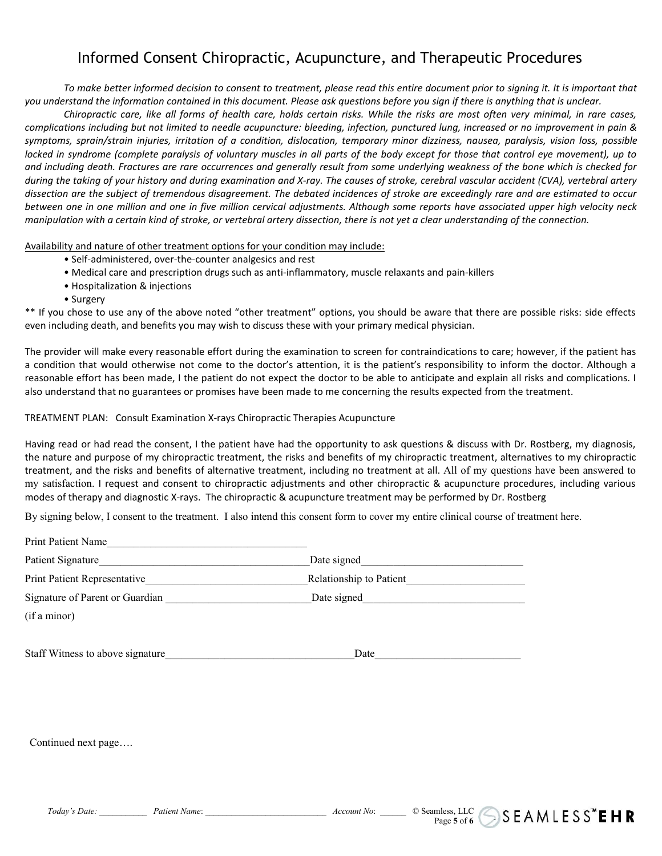### Informed Consent Chiropractic, Acupuncture, and Therapeutic Procedures

To make better informed decision to consent to treatment, please read this entire document prior to signing it. It is important that you understand the information contained in this document. Please ask questions before you sign if there is anything that is unclear.

Chiropractic care, like all forms of health care, holds certain risks. While the risks are most often very minimal, in rare cases, complications including but not limited to needle acupuncture: bleeding, infection, punctured lung, increased or no improvement in pain & symptoms, sprain/strain injuries, irritation of a condition, dislocation, temporary minor dizziness, nausea, paralysis, vision loss, possible locked in syndrome (complete paralysis of voluntary muscles in all parts of the body except for those that control eye movement), up to and including death. Fractures are rare occurrences and generally result from some underlying weakness of the bone which is checked for during the taking of your history and during examination and X-ray. The causes of stroke, cerebral vascular accident (CVA), vertebral artery dissection are the subject of tremendous disagreement. The debated incidences of stroke are exceedingly rare and are estimated to occur between one in one million and one in five million cervical adjustments. Although some reports have associated upper high velocity neck manipulation with a certain kind of stroke, or vertebral artery dissection, there is not yet a clear understanding of the connection.

Availability and nature of other treatment options for your condition may include:

- Self-administered, over-the-counter analgesics and rest
- Medical care and prescription drugs such as anti-inflammatory, muscle relaxants and pain-killers
- Hospitalization & injections
- Surgery

\*\* If you chose to use any of the above noted "other treatment" options, you should be aware that there are possible risks: side effects even including death, and benefits you may wish to discuss these with your primary medical physician.

The provider will make every reasonable effort during the examination to screen for contraindications to care; however, if the patient has a condition that would otherwise not come to the doctor's attention, it is the patient's responsibility to inform the doctor. Although a reasonable effort has been made, I the patient do not expect the doctor to be able to anticipate and explain all risks and complications. I also understand that no guarantees or promises have been made to me concerning the results expected from the treatment.<br>TREATMENT PLAN: Consult Examination X-rays Chiropractic Therapies Acupuncture

Having read or had read the consent, I the patient have had the opportunity to ask questions & discuss with Dr. Rostberg, my diagnosis, the nature and purpose of my chiropractic treatment, the risks and benefits of my chiropractic treatment, alternatives to my chiropractic treatment, and the risks and benefits of alternative treatment, including no treatment at all. All of my questions have been answered to my satisfaction. I request and consentto chiropractic adjustments and other chiropractic & acupuncture procedures, including various modes of therapy and diagnostic X-rays. The chiropractic & acupuncture treatment may be performed by Dr. Rostberg

By signing below, I consent to the treatment. I also intend this consent form to cover my entire clinical course of treatment here.

| <b>Print Patient Name</b>        |                         |  |
|----------------------------------|-------------------------|--|
| Patient Signature                | Date signed             |  |
| Print Patient Representative     | Relationship to Patient |  |
| Signature of Parent or Guardian  | Date signed             |  |
| (if a minor)                     |                         |  |
| Staff Witness to above signature | Date                    |  |

Continued next page….

Page 5 of **6**  $\bigcup$  **5 6 6 6**